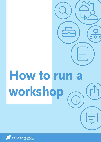# **How to run a workshop**

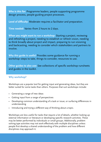**Who is this for:** Programme leaders, people supporting programme design process, people guiding project processes.

**Level of difficulty:** Moderate–requires a facilitator and preparation.

**Time needed:** Varies–from 2 hours to 2 days.

**When you might want to run a workshop:** Starting a project, reviewing and refreshing a project, needing to establish or refresh vision, needing to think broadly about project and impact, preparing to run visioning and backcasting, needing to consider which stakeholders and partners to involve.

**Why this guide is useful:** Provides some guidance for running a workshop–steps to take, things to consider, resources to use.

**Other guides to also use:** See collections of specific workshop runsheets and guides in the toolkit.

# **Why workshop?**

Workshops are a popular tool for getting input and generating ideas, but they are better suited for some tasks than others. Purposes that suit workshops include:

- Generating a range of new ideas
- Getting input from a range of perspectives
- Developing common understanding of a task or issue, or surfacing differences in understanding
- Introducing and trying a different way of thinking about a topic.

Workshops are less useful for tasks that require a lot of details, whether looking up external information or literature or developing specific research activities. These may be better performed by individuals or small groups. Additionally, problem solving type activities may not work effectively with multiple disciplines unless people first develop a shared understanding of the problem and how different disciplines may approach it.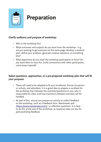

# **Preparation**

# **Clarify audience and purpose of workshop:**

- Who is the workshop for?
- What outcomes and outputs do you want from the workshop e.g. are you wanting to get everyone on the same page, develop a research plan, define your problem, generate creative solutions, or something else?
- What experience do you want the workshop participants to have? Do you want them to have fun, build connections with other participants, come away inspired?

# **Select questions, approaches, or a pre-prepared workshop plan that will fit your purpose:**

- These will need to be adapted to fit your timeframe, format (in-person or online), and attendees. It is a good idea to prepare a runsheet for the workshop that indicates the activities/questions to use, who is responsible for what, and how transitions between activities will be handled.
- As part of this, ensure you prepare an activity to collect feedback on the workshop, such as a feedback form, Mentimeter poll (**https://www.mentimeter.com/**), or reflection questions. It is best to do this at the end of the workshop, as response rates are low for post-workshop feedback.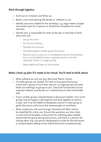# **Work through logistics:**

- Send out an invitation and follow up
- Book a room and catering OR decide on software to use
- Identify resources needed for the workshop, e.g. large sheets of paper and marker pens for in-person or PowerPoint templates for online activities
- Identify who is responsible for what on the day. It may help to think about who will:
	- Set up the room
	- Put out any catering
	- Facilitate the sessions
	- Facilitate/support smaller group discussion
	- Record notes on post-its or a whiteboard (can be the facilitator, but it can be helpful to have a separate person to do this, especially if there is a larger group)
	- Make additional notes on discussions

# **Make a back up plan if it needs to be virtual. You'll need to think about:**

- What software you will use (e.g. Microsoft Teams, Zoom)
- If smaller groups are needed. It's hard to have good discussion online with a group of more than about 6, so larger groups will need break out meetings or groups to join. Check the functionality of your potential software and decide on a method that you feel comfortable with.
- If your smaller groups need facilitators/ discussion leaders. Your small groups may be happy to self-organise and work together to discuss a topic, but it can be helpful to designate a person in each group to guide discussion and ensure that everyone gets to contribute.
- What content you will work through. Activities will often need to be simplified for online use. Ensure that questions are clear, there is some kind of template or document for collecting ideas (ideally shared with the group during discussion), and there is a process for sharing ideas (e.g. one person designated as scribe for the discussion or all participants adding to the shared document simultaneously).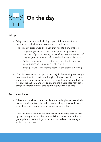

## **Set up:**

- Bring needed resources, including copies of the runsheet for all involving in facilitating and organising the workshop.
- If this is an in-person workshop, you may need to allow time for:
	- Organising chairs and tables into a good set up for your activities. (If you are meeting at a conference venue, venue staff may ask you about layout beforehand and prepare this for you.)
	- Setting up materials e.g. putting out post-it notes or marker pens, sticking up templates or a sticky wall.
	- Setting out water and making space for any catering/morning tea.
- If this is an online workshop, it is best to join the meeting early so you have some time to collect your thoughts, double check the technology, and deal with any issues that arise. Letting participants know that you will start the call early and will be starting the meeting formally at the designated start time may also help things run more to time.

# **Run the workshop:**

- Follow your runsheet, but make adaptions to the plan as needed. (For instance, an important discussion may take longer than anticipated, so a later activity may need to be shortened or omitted).
- If you are both facilitating and note taking, and finding hard to keep up with taking notes, involve your workshop participants in this by getting them to write things on post-its themselves or selecting a scribe from the group.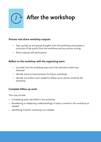# **After the workshop**

# **Process and share workshop outputs:**

- Type up/tidy up and group thoughts from the workshop and prepare a summary of key points from the workshop and any actions arising
- Share outputs with participants

# **Reflect on the workshop with the organising team:**

- Consider how the workshop went and if the desired content was obtained
- Identify actions/improvements for future workshops
- Identify any further work needed to follow up on points raised by the workshop

# **Complete follow up work:**

This may include

- Completing tasks identified in the workshop
- Broadening or deepening understandings of topics covered in the workshop as needed
- Identifying if further workshops are needed.